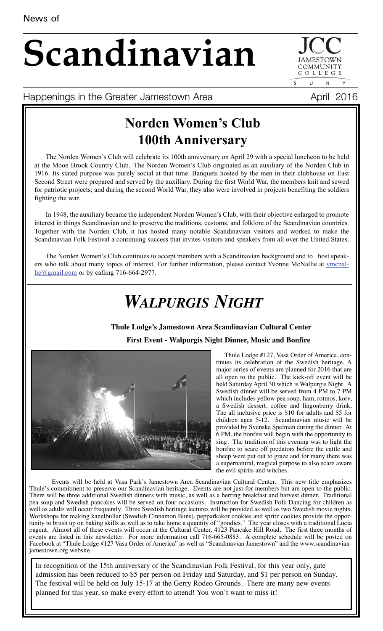# **Scandinavian**

COLLEGE  $\mathbf{U}$  $\mathsf{N}$ 

COMMUNIT

Happenings in the Greater Jamestown Area **April 2016** 

## **Norden Women's Club 100th Anniversary**

The Norden Women's Club will celebrate its 100th anniversary on April 29 with a special luncheon to be held at the Moon Brook Country Club. The Norden Women's Club originated as an auxiliary of the Norden Club in 1916. Its stated purpose was purely social at that time. Banquets hosted by the men in their clubhouse on East Second Street were prepared and served by the auxiliary. During the first World War, the members knit and sewed for patriotic projects; and during the second World War, they also were involved in projects benefiting the soldiers fighting the war.

In 1948, the auxiliary became the independent Norden Women's Club, with their objective enlarged to promote interest in things Scandinavian and to preserve the traditions, customs, and folklore of the Scandinavian countries. Together with the Norden Club, it has hosted many notable Scandinavian visitors and worked to make the Scandinavian Folk Festival a continuing success that invites visitors and speakers from all over the United States.

The Norden Women's Club continues to accept members with a Scandinavian background and to host speakers who talk about many topics of interest. For further information, please contact Yvonne McNallie at ymcnallie@gmail.com or by calling 716-664-2977.

## *WALPURGIS NIGHT*

#### **Thule Lodge's Jamestown Area Scandinavian Cultural Center**





Thule Lodge #127, Vasa Order of America, continues its celebration of the Swedish heritage. A major series of events are planned for 2016 that are all open to the public. The kick-off event will be held Saturday April 30 which is Walpurgis Night. A Swedish dinner will be served from 4 PM to 7 PM which includes yellow pea soup, ham, rotmos, korv, a Swedish dessert, coffee and lingonberry drink. The all inclusive price is \$10 for adults and \$5 for children ages 5-12. Scandinavian music will be provided by Svenska Spelman during the dinner. At 6 PM, the bonfire will begin with the opportunity to sing. The tradition of this evening was to light the bonfire to scare off predators before the cattle and sheep were put out to graze and for many there was a supernatural, magical purpose to also scare aware the evil spirits and witches.

Events will be held at Vasa Park's Jamestown Area Scandinavian Cultural Center. This new title emphasizes Thule's commitment to preserve our Scandinavian heritage. Events are not just for members but are open to the public. There will be three additional Swedish dinners with music, as well as a herring breakfast and harvest dinner. Traditional pea soup and Swedish pancakes will be served on four occasions. Instruction for Swedish Folk Dancing for children as well as adults will occur frequently. Three Swedish heritage lectures will be provided as well as two Swedish movie nights. Workshops for making kanelbullar (Swedish Cinnamon Buns), pepparkakor cookies and spritz cookies provide the opportunity to brush up on baking skills as well as to take home a quantity of "goodies." The year closes with a traditional Lucia pagent. Almost all of these events will occur at the Cultural Center, 4123 Pancake Hill Road. The first three months of events are listed in this newsletter. For more information call 716-665-0883. A complete schedule will be posted on Facebook at "Thule Lodge #127 Vasa Order of America" as well as "Scandinavian Jamestown" and the www.scandinavianjamestown.org website.

In recognition of the 15th anniversary of the Scandinavian Folk Festival, for this year only, gate admission has been reduced to \$5 per person on Friday and Saturday, and \$1 per person on Sunday. The festival will be held on July 15-17 at the Gerry Rodeo Grounds. There are many new events planned for this year, so make every effort to attend! You won't want to miss it!